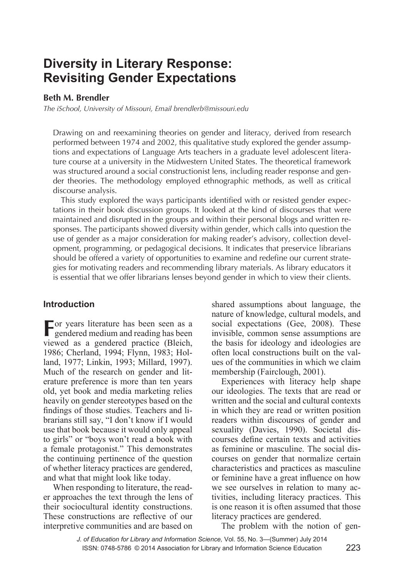# **Diversity in Literary Response: Revisiting Gender Expectations**

## **Beth M. Brendler**

*The iSchool, University of Missouri, Email brendlerb@missouri.edu*

Drawing on and reexamining theories on gender and literacy, derived from research performed between 1974 and 2002, this qualitative study explored the gender assumptions and expectations of Language Arts teachers in a graduate level adolescent literature course at a university in the Midwestern United States. The theoretical framework was structured around a social constructionist lens, including reader response and gender theories. The methodology employed ethnographic methods, as well as critical discourse analysis.

This study explored the ways participants identified with or resisted gender expectations in their book discussion groups. It looked at the kind of discourses that were maintained and disrupted in the groups and within their personal blogs and written responses. The participants showed diversity within gender, which calls into question the use of gender as a major consideration for making reader's advisory, collection development, programming, or pedagogical decisions. It indicates that preservice librarians should be offered a variety of opportunities to examine and redefine our current strategies for motivating readers and recommending library materials. As library educators it is essential that we offer librarians lenses beyond gender in which to view their clients.

# **Introduction**

**F**or years literature has been seen as a gendered medium and reading has been viewed as a gendered practice (Bleich, 1986; Cherland, 1994; Flynn, 1983; Holland, 1977; Linkin, 1993; Millard, 1997). Much of the research on gender and literature preference is more than ten years old, yet book and media marketing relies heavily on gender stereotypes based on the findings of those studies. Teachers and librarians still say, "I don't know if I would use that book because it would only appeal to girls" or "boys won't read a book with a female protagonist." This demonstrates the continuing pertinence of the question of whether literacy practices are gendered, and what that might look like today.

When responding to literature, the reader approaches the text through the lens of their sociocultural identity constructions. These constructions are reflective of our interpretive communities and are based on

shared assumptions about language, the nature of knowledge, cultural models, and social expectations (Gee, 2008). These invisible, common sense assumptions are the basis for ideology and ideologies are often local constructions built on the values of the communities in which we claim membership (Fairclough, 2001).

Experiences with literacy help shape our ideologies. The texts that are read or written and the social and cultural contexts in which they are read or written position readers within discourses of gender and sexuality (Davies, 1990). Societal discourses define certain texts and activities as feminine or masculine. The social discourses on gender that normalize certain characteristics and practices as masculine or feminine have a great influence on how we see ourselves in relation to many activities, including literacy practices. This is one reason it is often assumed that those literacy practices are gendered.

The problem with the notion of gen-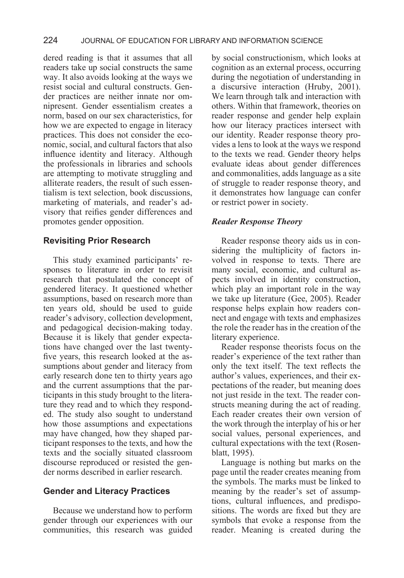dered reading is that it assumes that all readers take up social constructs the same way. It also avoids looking at the ways we resist social and cultural constructs. Gender practices are neither innate nor omnipresent. Gender essentialism creates a norm, based on our sex characteristics, for how we are expected to engage in literacy practices. This does not consider the economic, social, and cultural factors that also influence identity and literacy. Although the professionals in libraries and schools are attempting to motivate struggling and alliterate readers, the result of such essentialism is text selection, book discussions, marketing of materials, and reader's advisory that reifies gender differences and promotes gender opposition.

# **Revisiting Prior Research**

This study examined participants' responses to literature in order to revisit research that postulated the concept of gendered literacy. It questioned whether assumptions, based on research more than ten years old, should be used to guide reader's advisory, collection development, and pedagogical decision-making today. Because it is likely that gender expectations have changed over the last twentyfive years, this research looked at the assumptions about gender and literacy from early research done ten to thirty years ago and the current assumptions that the participants in this study brought to the literature they read and to which they responded. The study also sought to understand how those assumptions and expectations may have changed, how they shaped participant responses to the texts, and how the texts and the socially situated classroom discourse reproduced or resisted the gender norms described in earlier research.

# **Gender and Literacy Practices**

Because we understand how to perform gender through our experiences with our communities, this research was guided by social constructionism, which looks at cognition as an external process, occurring during the negotiation of understanding in a discursive interaction (Hruby, 2001). We learn through talk and interaction with others. Within that framework, theories on reader response and gender help explain how our literacy practices intersect with our identity. Reader response theory provides a lens to look at the ways we respond to the texts we read. Gender theory helps evaluate ideas about gender differences and commonalities, adds language as a site of struggle to reader response theory, and it demonstrates how language can confer or restrict power in society.

# *Reader Response Theory*

Reader response theory aids us in considering the multiplicity of factors involved in response to texts. There are many social, economic, and cultural aspects involved in identity construction, which play an important role in the way we take up literature (Gee, 2005). Reader response helps explain how readers connect and engage with texts and emphasizes the role the reader has in the creation of the literary experience.

Reader response theorists focus on the reader's experience of the text rather than only the text itself. The text reflects the author's values, experiences, and their expectations of the reader, but meaning does not just reside in the text. The reader constructs meaning during the act of reading. Each reader creates their own version of the work through the interplay of his or her social values, personal experiences, and cultural expectations with the text (Rosenblatt, 1995).

Language is nothing but marks on the page until the reader creates meaning from the symbols. The marks must be linked to meaning by the reader's set of assumptions, cultural influences, and predispositions. The words are fixed but they are symbols that evoke a response from the reader. Meaning is created during the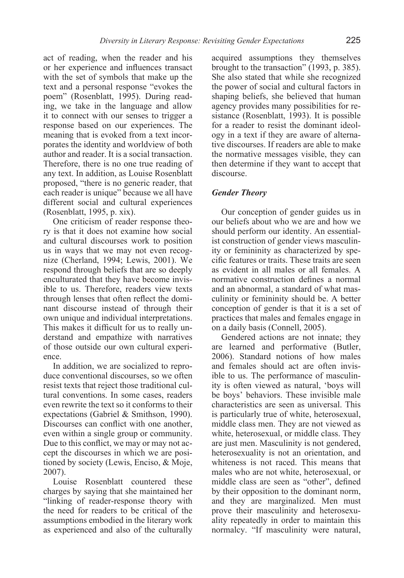act of reading, when the reader and his or her experience and influences transact with the set of symbols that make up the text and a personal response "evokes the poem" (Rosenblatt, 1995). During reading, we take in the language and allow it to connect with our senses to trigger a response based on our experiences. The meaning that is evoked from a text incorporates the identity and worldview of both author and reader. It is a social transaction. Therefore, there is no one true reading of any text. In addition, as Louise Rosenblatt proposed, "there is no generic reader, that each reader is unique" because we all have different social and cultural experiences (Rosenblatt, 1995, p. xix).

One criticism of reader response theory is that it does not examine how social and cultural discourses work to position us in ways that we may not even recognize (Cherland, 1994; Lewis, 2001). We respond through beliefs that are so deeply enculturated that they have become invisible to us. Therefore, readers view texts through lenses that often reflect the dominant discourse instead of through their own unique and individual interpretations. This makes it difficult for us to really understand and empathize with narratives of those outside our own cultural experience.

In addition, we are socialized to reproduce conventional discourses, so we often resist texts that reject those traditional cultural conventions. In some cases, readers even rewrite the text so it conforms to their expectations (Gabriel & Smithson, 1990). Discourses can conflict with one another, even within a single group or community. Due to this conflict, we may or may not accept the discourses in which we are positioned by society (Lewis, Enciso, & Moje, 2007).

Louise Rosenblatt countered these charges by saying that she maintained her "linking of reader-response theory with the need for readers to be critical of the assumptions embodied in the literary work as experienced and also of the culturally acquired assumptions they themselves brought to the transaction" (1993, p. 385). She also stated that while she recognized the power of social and cultural factors in shaping beliefs, she believed that human agency provides many possibilities for resistance (Rosenblatt, 1993). It is possible for a reader to resist the dominant ideology in a text if they are aware of alternative discourses. If readers are able to make the normative messages visible, they can then determine if they want to accept that discourse.

#### *Gender Theory*

Our conception of gender guides us in our beliefs about who we are and how we should perform our identity. An essentialist construction of gender views masculinity or femininity as characterized by specific features or traits. These traits are seen as evident in all males or all females. A normative construction defines a normal and an abnormal, a standard of what masculinity or femininity should be. A better conception of gender is that it is a set of practices that males and females engage in on a daily basis (Connell, 2005).

Gendered actions are not innate; they are learned and performative (Butler, 2006). Standard notions of how males and females should act are often invisible to us. The performance of masculinity is often viewed as natural, 'boys will be boys' behaviors. These invisible male characteristics are seen as universal. This is particularly true of white, heterosexual, middle class men. They are not viewed as white, heterosexual, or middle class. They are just men. Masculinity is not gendered, heterosexuality is not an orientation, and whiteness is not raced. This means that males who are not white, heterosexual, or middle class are seen as "other", defined by their opposition to the dominant norm, and they are marginalized. Men must prove their masculinity and heterosexuality repeatedly in order to maintain this normalcy. "If masculinity were natural,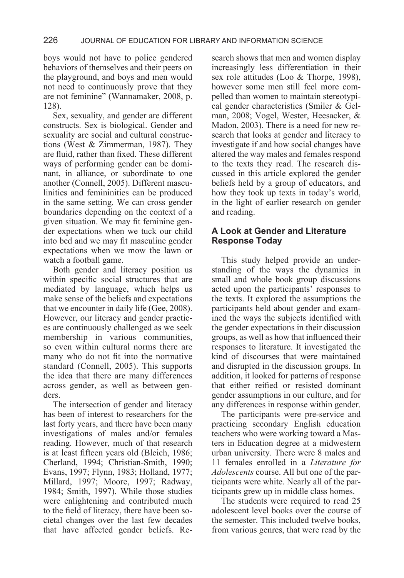## 226 JOURNAL OF EDUCATION FOR LIBRARY AND INFORMATION SCIENCE

boys would not have to police gendered behaviors of themselves and their peers on the playground, and boys and men would not need to continuously prove that they are not feminine" (Wannamaker, 2008, p. 128).

Sex, sexuality, and gender are different constructs. Sex is biological. Gender and sexuality are social and cultural constructions (West & Zimmerman, 1987). They are fluid, rather than fixed. These different ways of performing gender can be dominant, in alliance, or subordinate to one another (Connell, 2005). Different masculinities and femininities can be produced in the same setting. We can cross gender boundaries depending on the context of a given situation. We may fit feminine gender expectations when we tuck our child into bed and we may fit masculine gender expectations when we mow the lawn or watch a football game.

Both gender and literacy position us within specific social structures that are mediated by language, which helps us make sense of the beliefs and expectations that we encounter in daily life (Gee, 2008). However, our literacy and gender practices are continuously challenged as we seek membership in various communities, so even within cultural norms there are many who do not fit into the normative standard (Connell, 2005). This supports the idea that there are many differences across gender, as well as between genders.

The intersection of gender and literacy has been of interest to researchers for the last forty years, and there have been many investigations of males and/or females reading. However, much of that research is at least fifteen years old (Bleich, 1986; Cherland, 1994; Christian-Smith, 1990; Evans, 1997; Flynn, 1983; Holland, 1977; Millard, 1997; Moore, 1997; Radway, 1984; Smith, 1997). While those studies were enlightening and contributed much to the field of literacy, there have been societal changes over the last few decades that have affected gender beliefs. Research shows that men and women display increasingly less differentiation in their sex role attitudes (Loo & Thorpe, 1998), however some men still feel more compelled than women to maintain stereotypical gender characteristics (Smiler & Gelman, 2008; Vogel, Wester, Heesacker, & Madon, 2003). There is a need for new research that looks at gender and literacy to investigate if and how social changes have altered the way males and females respond to the texts they read. The research discussed in this article explored the gender beliefs held by a group of educators, and how they took up texts in today's world, in the light of earlier research on gender and reading.

# **A Look at Gender and Literature Response Today**

This study helped provide an understanding of the ways the dynamics in small and whole book group discussions acted upon the participants' responses to the texts. It explored the assumptions the participants held about gender and examined the ways the subjects identified with the gender expectations in their discussion groups, as well as how that influenced their responses to literature. It investigated the kind of discourses that were maintained and disrupted in the discussion groups. In addition, it looked for patterns of response that either reified or resisted dominant gender assumptions in our culture, and for any differences in response within gender.

The participants were pre-service and practicing secondary English education teachers who were working toward a Masters in Education degree at a midwestern urban university. There were 8 males and 11 females enrolled in a *Literature for Adolescents* course. All but one of the participants were white. Nearly all of the participants grew up in middle class homes.

The students were required to read 25 adolescent level books over the course of the semester. This included twelve books, from various genres, that were read by the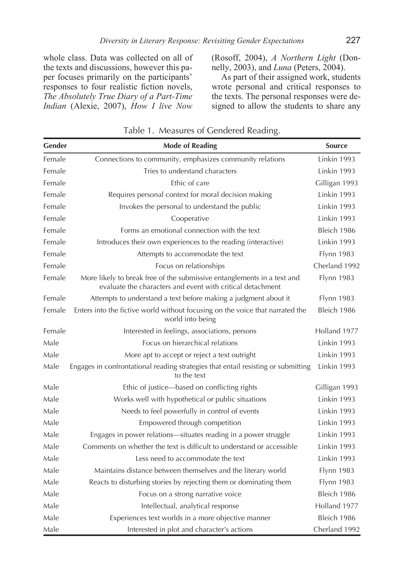whole class. Data was collected on all of the texts and discussions, however this paper focuses primarily on the participants' responses to four realistic fiction novels, *The Absolutely True Diary of a Part-Time Indian* (Alexie, 2007), *How I live Now*  (Rosoff, 2004), *A Northern Light* (Donnelly, 2003), and *Luna* (Peters, 2004).

As part of their assigned work, students wrote personal and critical responses to the texts. The personal responses were designed to allow the students to share any

| Gender | <b>Mode of Reading</b>                                                                                                                | Source            |
|--------|---------------------------------------------------------------------------------------------------------------------------------------|-------------------|
| Female | Connections to community, emphasizes community relations                                                                              | Linkin 1993       |
| Female | Tries to understand characters                                                                                                        | Linkin 1993       |
| Female | Ethic of care                                                                                                                         | Gilligan 1993     |
| Female | Requires personal context for moral decision making                                                                                   | Linkin 1993       |
| Female | Invokes the personal to understand the public                                                                                         | Linkin 1993       |
| Female | Cooperative                                                                                                                           | Linkin 1993       |
| Female | Forms an emotional connection with the text                                                                                           | Bleich 1986       |
| Female | Introduces their own experiences to the reading (interactive)                                                                         | Linkin 1993       |
| Female | Attempts to accommodate the text                                                                                                      | Flynn 1983        |
| Female | Focus on relationships                                                                                                                | Cherland 1992     |
| Female | More likely to break free of the submissive entanglements in a text and<br>evaluate the characters and event with critical detachment | <b>Flynn 1983</b> |
| Female | Attempts to understand a text before making a judgment about it                                                                       | <b>Flynn 1983</b> |
| Female | Enters into the fictive world without focusing on the voice that narrated the<br>world into being                                     | Bleich 1986       |
| Female | Interested in feelings, associations, persons                                                                                         | Holland 1977      |
| Male   | Focus on hierarchical relations                                                                                                       | Linkin 1993       |
| Male   | More apt to accept or reject a text outright                                                                                          | Linkin 1993       |
| Male   | Engages in confrontational reading strategies that entail resisting or submitting<br>to the text                                      | Linkin 1993       |
| Male   | Ethic of justice-based on conflicting rights                                                                                          | Gilligan 1993     |
| Male   | Works well with hypothetical or public situations                                                                                     | Linkin 1993       |
| Male   | Needs to feel powerfully in control of events                                                                                         | Linkin 1993       |
| Male   | Empowered through competition                                                                                                         | Linkin 1993       |
| Male   | Engages in power relations-situates reading in a power struggle                                                                       | Linkin 1993       |
| Male   | Comments on whether the text is difficult to understand or accessible                                                                 | Linkin 1993       |
| Male   | Less need to accommodate the text                                                                                                     | Linkin 1993       |
| Male   | Maintains distance between themselves and the literary world                                                                          | <b>Flynn 1983</b> |
| Male   | Reacts to disturbing stories by rejecting them or dominating them                                                                     | <b>Flynn 1983</b> |
| Male   | Focus on a strong narrative voice                                                                                                     | Bleich 1986       |
| Male   | Intellectual, analytical response                                                                                                     | Holland 1977      |
| Male   | Experiences text worlds in a more objective manner                                                                                    | Bleich 1986       |
| Male   | Interested in plot and character's actions                                                                                            | Cherland 1992     |

Table 1. Measures of Gendered Reading.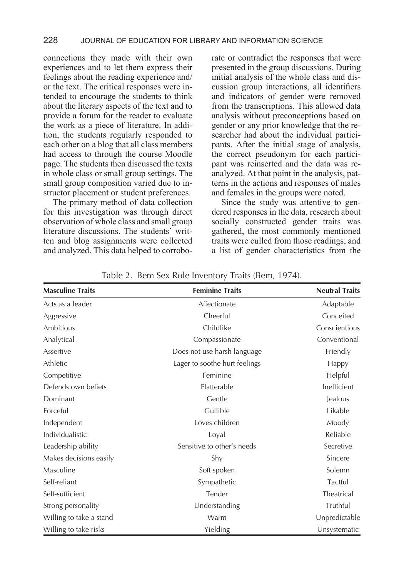connections they made with their own experiences and to let them express their feelings about the reading experience and/ or the text. The critical responses were intended to encourage the students to think about the literary aspects of the text and to provide a forum for the reader to evaluate the work as a piece of literature. In addition, the students regularly responded to each other on a blog that all class members had access to through the course Moodle page. The students then discussed the texts in whole class or small group settings. The small group composition varied due to instructor placement or student preferences.

The primary method of data collection for this investigation was through direct observation of whole class and small group literature discussions. The students' written and blog assignments were collected and analyzed. This data helped to corrobo-

rate or contradict the responses that were presented in the group discussions. During initial analysis of the whole class and discussion group interactions, all identifiers and indicators of gender were removed from the transcriptions. This allowed data analysis without preconceptions based on gender or any prior knowledge that the researcher had about the individual participants. After the initial stage of analysis, the correct pseudonym for each participant was reinserted and the data was reanalyzed. At that point in the analysis, patterns in the actions and responses of males and females in the groups were noted.

Since the study was attentive to gendered responses in the data, research about socially constructed gender traits was gathered, the most commonly mentioned traits were culled from those readings, and a list of gender characteristics from the

| <b>Masculine Traits</b> | <b>Feminine Traits</b>        | <b>Neutral Traits</b> |
|-------------------------|-------------------------------|-----------------------|
| Acts as a leader        | Affectionate                  | Adaptable             |
| Aggressive              | Cheerful                      | Conceited             |
| Ambitious               | Childlike                     | Conscientious         |
| Analytical              | Compassionate                 | Conventional          |
| Assertive               | Does not use harsh language   | Friendly              |
| Athletic                | Eager to soothe hurt feelings | Happy                 |
| Competitive             | Feminine                      | Helpful               |
| Defends own beliefs     | Flatterable                   | Inefficient           |
| Dominant                | Gentle                        | Jealous               |
| Forceful                | Gullible                      | Likable               |
| Independent             | Loves children                | Moody                 |
| Individualistic         | Loyal                         | Reliable              |
| Leadership ability      | Sensitive to other's needs    | Secretive             |
| Makes decisions easily  | Shy                           | Sincere               |
| Masculine               | Soft spoken                   | Solemn                |
| Self-reliant            | Sympathetic                   | Tactful               |
| Self-sufficient         | Tender                        | <b>Theatrical</b>     |
| Strong personality      | Understanding                 | Truthful              |
| Willing to take a stand | Warm                          | Unpredictable         |
| Willing to take risks   | Yielding                      | Unsystematic          |

Table 2. Bem Sex Role Inventory Traits (Bem, 1974).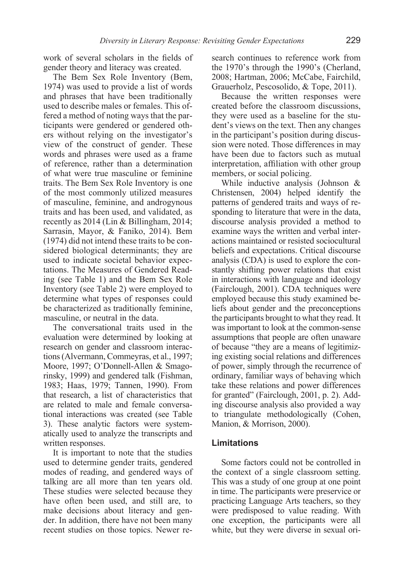work of several scholars in the fields of gender theory and literacy was created.

The Bem Sex Role Inventory (Bem, 1974) was used to provide a list of words and phrases that have been traditionally used to describe males or females. This offered a method of noting ways that the participants were gendered or gendered others without relying on the investigator's view of the construct of gender. These words and phrases were used as a frame of reference, rather than a determination of what were true masculine or feminine traits. The Bem Sex Role Inventory is one of the most commonly utilized measures of masculine, feminine, and androgynous traits and has been used, and validated, as recently as 2014 (Lin & Billingham, 2014; Sarrasin, Mayor, & Faniko, 2014). Bem (1974) did not intend these traits to be considered biological determinants; they are used to indicate societal behavior expectations. The Measures of Gendered Reading (see Table 1) and the Bem Sex Role Inventory (see Table 2) were employed to determine what types of responses could be characterized as traditionally feminine, masculine, or neutral in the data.

The conversational traits used in the evaluation were determined by looking at research on gender and classroom interactions (Alvermann, Commeyras, et al., 1997; Moore, 1997; O'Donnell-Allen & Smagorinsky, 1999) and gendered talk (Fishman, 1983; Haas, 1979; Tannen, 1990). From that research, a list of characteristics that are related to male and female conversational interactions was created (see Table 3). These analytic factors were systematically used to analyze the transcripts and written responses.

It is important to note that the studies used to determine gender traits, gendered modes of reading, and gendered ways of talking are all more than ten years old. These studies were selected because they have often been used, and still are, to make decisions about literacy and gender. In addition, there have not been many recent studies on those topics. Newer research continues to reference work from the 1970's through the 1990's (Cherland, 2008; Hartman, 2006; McCabe, Fairchild, Grauerholz, Pescosolido, & Tope, 2011).

Because the written responses were created before the classroom discussions, they were used as a baseline for the student's views on the text. Then any changes in the participant's position during discussion were noted. Those differences in may have been due to factors such as mutual interpretation, affiliation with other group members, or social policing.

While inductive analysis (Johnson & Christensen, 2004) helped identify the patterns of gendered traits and ways of responding to literature that were in the data, discourse analysis provided a method to examine ways the written and verbal interactions maintained or resisted sociocultural beliefs and expectations. Critical discourse analysis (CDA) is used to explore the constantly shifting power relations that exist in interactions with language and ideology (Fairclough, 2001). CDA techniques were employed because this study examined beliefs about gender and the preconceptions the participants brought to what they read. It was important to look at the common-sense assumptions that people are often unaware of because "they are a means of legitimizing existing social relations and differences of power, simply through the recurrence of ordinary, familiar ways of behaving which take these relations and power differences for granted" (Fairclough, 2001, p. 2). Adding discourse analysis also provided a way to triangulate methodologically (Cohen, Manion, & Morrison, 2000).

# **Limitations**

Some factors could not be controlled in the context of a single classroom setting. This was a study of one group at one point in time. The participants were preservice or practicing Language Arts teachers, so they were predisposed to value reading. With one exception, the participants were all white, but they were diverse in sexual ori-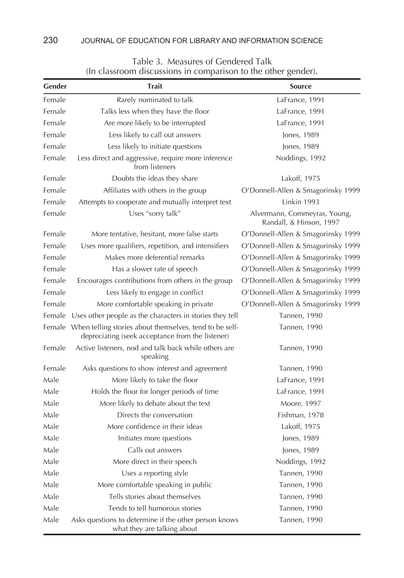| Gender | <b>Trait</b>                                                                                                       | <b>Source</b>                                           |
|--------|--------------------------------------------------------------------------------------------------------------------|---------------------------------------------------------|
| Female | Rarely nominated to talk                                                                                           | LaFrance, 1991                                          |
| Female | Talks less when they have the floor                                                                                | LaFrance, 1991                                          |
| Female | Are more likely to be interrupted                                                                                  | LaFrance, 1991                                          |
| Female | Less likely to call out answers                                                                                    | Jones, 1989                                             |
| Female | Less likely to initiate questions                                                                                  | Jones, 1989                                             |
| Female | Less direct and aggressive, require more inference<br>from listeners                                               | Noddings, 1992                                          |
| Female | Doubts the ideas they share                                                                                        | Lakoff, 1975                                            |
| Female | Affiliates with others in the group                                                                                | O'Donnell-Allen & Smagorinsky 1999                      |
| Female | Attempts to cooperate and mutually interpret text                                                                  | Linkin 1993                                             |
| Female | Uses "sorry talk"                                                                                                  | Alvermann, Commeyras, Young,<br>Randall, & Hinson, 1997 |
| Female | More tentative, hesitant, more false starts                                                                        | O'Donnell-Allen & Smagorinsky 1999                      |
| Female | Uses more qualifiers, repetition, and intensifiers                                                                 | O'Donnell-Allen & Smagorinsky 1999                      |
| Female | Makes more deferential remarks                                                                                     | O'Donnell-Allen & Smagorinsky 1999                      |
| Female | Has a slower rate of speech                                                                                        | O'Donnell-Allen & Smagorinsky 1999                      |
| Female | Encourages contributions from others in the group                                                                  | O'Donnell-Allen & Smagorinsky 1999                      |
| Female | Less likely to engage in conflict                                                                                  | O'Donnell-Allen & Smagorinsky 1999                      |
| Female | More comfortable speaking in private                                                                               | O'Donnell-Allen & Smagorinsky 1999                      |
| Female | Uses other people as the characters in stories they tell                                                           | <b>Tannen, 1990</b>                                     |
|        | Female When telling stories about themselves, tend to be self-<br>depreciating (seek acceptance from the listener) | <b>Tannen, 1990</b>                                     |
| Female | Active listeners, nod and talk back while others are<br>speaking                                                   | <b>Tannen, 1990</b>                                     |
| Female | Asks questions to show interest and agreement                                                                      | Tannen, 1990                                            |
| Male   | More likely to take the floor                                                                                      | LaFrance, 1991                                          |
| Male   | Holds the floor for longer periods of time                                                                         | LaFrance, 1991                                          |
| Male   | More likely to debate about the text                                                                               | Moore, 1997                                             |
| Male   | Directs the conversation                                                                                           | Fishman, 1978                                           |
| Male   | More confidence in their ideas                                                                                     | Lakoff, 1975                                            |
| Male   | Initiates more questions                                                                                           | Jones, 1989                                             |
| Male   | Calls out answers                                                                                                  | Jones, 1989                                             |
| Male   | More direct in their speech                                                                                        | Noddings, 1992                                          |
| Male   | Uses a reporting style                                                                                             | Tannen, 1990                                            |
| Male   | More comfortable speaking in public                                                                                | Tannen, 1990                                            |
| Male   | Tells stories about themselves                                                                                     | Tannen, 1990                                            |
| Male   | Tends to tell humorous stories                                                                                     | Tannen, 1990                                            |
| Male   | Asks questions to determine if the other person knows<br>what they are talking about                               | Tannen, 1990                                            |

# Table 3. Measures of Gendered Talk (In classroom discussions in comparison to the other gender).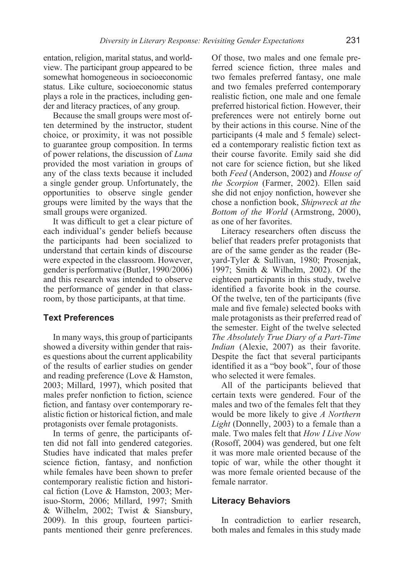entation, religion, marital status, and worldview. The participant group appeared to be somewhat homogeneous in socioeconomic status. Like culture, socioeconomic status plays a role in the practices, including gender and literacy practices, of any group.

Because the small groups were most often determined by the instructor, student choice, or proximity, it was not possible to guarantee group composition. In terms of power relations, the discussion of *Luna*  provided the most variation in groups of any of the class texts because it included a single gender group. Unfortunately, the opportunities to observe single gender groups were limited by the ways that the small groups were organized.

It was difficult to get a clear picture of each individual's gender beliefs because the participants had been socialized to understand that certain kinds of discourse were expected in the classroom. However, gender is performative (Butler, 1990/2006) and this research was intended to observe the performance of gender in that classroom, by those participants, at that time.

#### **Text Preferences**

In many ways, this group of participants showed a diversity within gender that raises questions about the current applicability of the results of earlier studies on gender and reading preference (Love & Hamston, 2003; Millard, 1997), which posited that males prefer nonfiction to fiction, science fiction, and fantasy over contemporary realistic fiction or historical fiction, and male protagonists over female protagonists.

In terms of genre, the participants often did not fall into gendered categories. Studies have indicated that males prefer science fiction, fantasy, and nonfiction while females have been shown to prefer contemporary realistic fiction and historical fiction (Love & Hamston, 2003; Merisuo-Storm, 2006; Millard, 1997; Smith & Wilhelm, 2002; Twist & Siansbury, 2009). In this group, fourteen participants mentioned their genre preferences.

Of those, two males and one female preferred science fiction, three males and two females preferred fantasy, one male and two females preferred contemporary realistic fiction, one male and one female preferred historical fiction. However, their preferences were not entirely borne out by their actions in this course. Nine of the participants (4 male and 5 female) selected a contemporary realistic fiction text as their course favorite. Emily said she did not care for science fiction, but she liked both *Feed* (Anderson, 2002) and *House of the Scorpion* (Farmer, 2002). Ellen said she did not enjoy nonfiction, however she chose a nonfiction book, *Shipwreck at the Bottom of the World* (Armstrong, 2000), as one of her favorites.

Literacy researchers often discuss the belief that readers prefer protagonists that are of the same gender as the reader (Beyard-Tyler & Sullivan, 1980; Prosenjak, 1997; Smith & Wilhelm, 2002). Of the eighteen participants in this study, twelve identified a favorite book in the course. Of the twelve, ten of the participants (five male and five female) selected books with male protagonists as their preferred read of the semester. Eight of the twelve selected *The Absolutely True Diary of a Part-Time Indian* (Alexie, 2007) as their favorite. Despite the fact that several participants identified it as a "boy book", four of those who selected it were females.

All of the participants believed that certain texts were gendered. Four of the males and two of the females felt that they would be more likely to give *A Northern Light* (Donnelly, 2003) to a female than a male. Two males felt that *How I Live Now*  (Rosoff, 2004) was gendered, but one felt it was more male oriented because of the topic of war, while the other thought it was more female oriented because of the female narrator.

#### **Literacy Behaviors**

In contradiction to earlier research, both males and females in this study made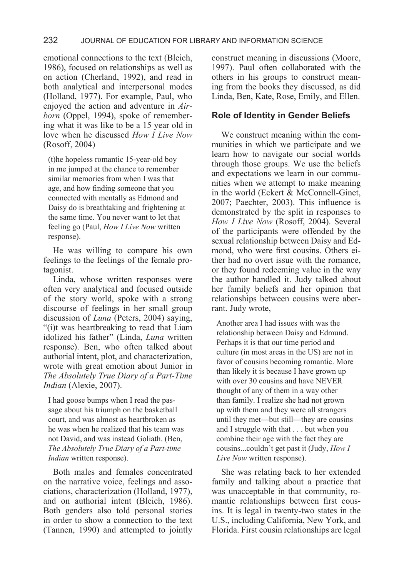emotional connections to the text (Bleich, 1986), focused on relationships as well as on action (Cherland, 1992), and read in both analytical and interpersonal modes (Holland, 1977). For example, Paul, who enjoyed the action and adventure in *Airborn* (Oppel, 1994), spoke of remembering what it was like to be a 15 year old in love when he discussed *How I Live Now*  (Rosoff, 2004)

(t)he hopeless romantic 15-year-old boy in me jumped at the chance to remember similar memories from when I was that age, and how finding someone that you connected with mentally as Edmond and Daisy do is breathtaking and frightening at the same time. You never want to let that feeling go (Paul, *How I Live Now* written response).

He was willing to compare his own feelings to the feelings of the female protagonist.

Linda, whose written responses were often very analytical and focused outside of the story world, spoke with a strong discourse of feelings in her small group discussion of *Luna* (Peters, 2004) saying, "(i)t was heartbreaking to read that Liam idolized his father" (Linda, *Luna* written response). Ben, who often talked about authorial intent, plot, and characterization, wrote with great emotion about Junior in *The Absolutely True Diary of a Part-Time Indian* (Alexie, 2007).

I had goose bumps when I read the passage about his triumph on the basketball court, and was almost as heartbroken as he was when he realized that his team was not David, and was instead Goliath. (Ben, *The Absolutely True Diary of a Part-time Indian* written response).

Both males and females concentrated on the narrative voice, feelings and associations, characterization (Holland, 1977), and on authorial intent (Bleich, 1986). Both genders also told personal stories in order to show a connection to the text (Tannen, 1990) and attempted to jointly construct meaning in discussions (Moore, 1997). Paul often collaborated with the others in his groups to construct meaning from the books they discussed, as did Linda, Ben, Kate, Rose, Emily, and Ellen.

# **Role of Identity in Gender Beliefs**

We construct meaning within the communities in which we participate and we learn how to navigate our social worlds through those groups. We use the beliefs and expectations we learn in our communities when we attempt to make meaning in the world (Eckert & McConnell-Ginet, 2007; Paechter, 2003). This influence is demonstrated by the split in responses to *How I Live Now* (Rosoff, 2004). Several of the participants were offended by the sexual relationship between Daisy and Edmond, who were first cousins. Others either had no overt issue with the romance, or they found redeeming value in the way the author handled it. Judy talked about her family beliefs and her opinion that relationships between cousins were aberrant. Judy wrote,

Another area I had issues with was the relationship between Daisy and Edmund. Perhaps it is that our time period and culture (in most areas in the US) are not in favor of cousins becoming romantic. More than likely it is because I have grown up with over 30 cousins and have NEVER thought of any of them in a way other than family. I realize she had not grown up with them and they were all strangers until they met—but still—they are cousins and I struggle with that . . . but when you combine their age with the fact they are cousins...couldn't get past it (Judy, *How I Live Now* written response).

She was relating back to her extended family and talking about a practice that was unacceptable in that community, romantic relationships between first cousins. It is legal in twenty-two states in the U.S., including California, New York, and Florida. First cousin relationships are legal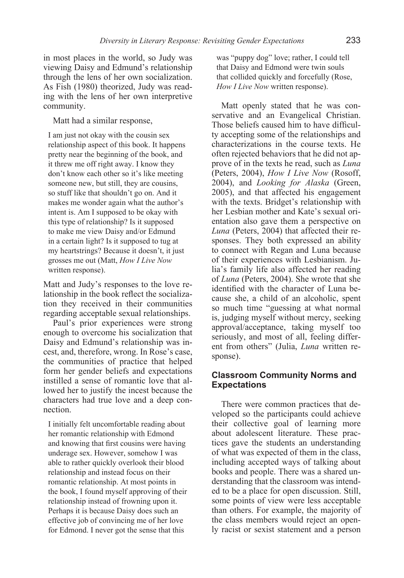in most places in the world, so Judy was viewing Daisy and Edmund's relationship through the lens of her own socialization. As Fish (1980) theorized, Judy was reading with the lens of her own interpretive community.

Matt had a similar response,

I am just not okay with the cousin sex relationship aspect of this book. It happens pretty near the beginning of the book, and it threw me off right away. I know they don't know each other so it's like meeting someone new, but still, they are cousins, so stuff like that shouldn't go on. And it makes me wonder again what the author's intent is. Am I supposed to be okay with this type of relationship? Is it supposed to make me view Daisy and/or Edmund in a certain light? Is it supposed to tug at my heartstrings? Because it doesn't, it just grosses me out (Matt, *How I Live Now* written response).

Matt and Judy's responses to the love relationship in the book reflect the socialization they received in their communities regarding acceptable sexual relationships.

Paul's prior experiences were strong enough to overcome his socialization that Daisy and Edmund's relationship was incest, and, therefore, wrong. In Rose's case, the communities of practice that helped form her gender beliefs and expectations instilled a sense of romantic love that allowed her to justify the incest because the characters had true love and a deep connection.

I initially felt uncomfortable reading about her romantic relationship with Edmond and knowing that first cousins were having underage sex. However, somehow I was able to rather quickly overlook their blood relationship and instead focus on their romantic relationship. At most points in the book, I found myself approving of their relationship instead of frowning upon it. Perhaps it is because Daisy does such an effective job of convincing me of her love for Edmond. I never got the sense that this

was "puppy dog" love; rather, I could tell that Daisy and Edmond were twin souls that collided quickly and forcefully (Rose, *How I Live Now* written response).

Matt openly stated that he was conservative and an Evangelical Christian. Those beliefs caused him to have difficulty accepting some of the relationships and characterizations in the course texts. He often rejected behaviors that he did not approve of in the texts he read, such as *Luna*  (Peters, 2004), *How I Live Now* (Rosoff, 2004), and *Looking for Alaska* (Green, 2005), and that affected his engagement with the texts. Bridget's relationship with her Lesbian mother and Kate's sexual orientation also gave them a perspective on *Luna* (Peters, 2004) that affected their responses. They both expressed an ability to connect with Regan and Luna because of their experiences with Lesbianism. Julia's family life also affected her reading of *Luna* (Peters, 2004). She wrote that she identified with the character of Luna because she, a child of an alcoholic, spent so much time "guessing at what normal is, judging myself without mercy, seeking approval/acceptance, taking myself too seriously, and most of all, feeling different from others" (Julia, *Luna* written response).

# **Classroom Community Norms and Expectations**

There were common practices that developed so the participants could achieve their collective goal of learning more about adolescent literature. These practices gave the students an understanding of what was expected of them in the class, including accepted ways of talking about books and people. There was a shared understanding that the classroom was intended to be a place for open discussion. Still, some points of view were less acceptable than others. For example, the majority of the class members would reject an openly racist or sexist statement and a person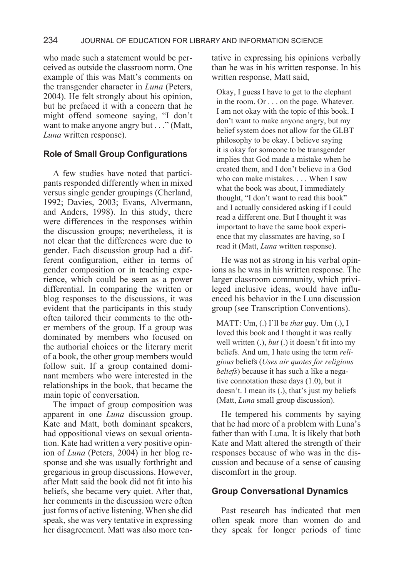who made such a statement would be perceived as outside the classroom norm. One example of this was Matt's comments on the transgender character in *Luna* (Peters, 2004). He felt strongly about his opinion, but he prefaced it with a concern that he might offend someone saying, "I don't want to make anyone angry but . . ." (Matt, *Luna* written response).

# **Role of Small Group Configurations**

A few studies have noted that participants responded differently when in mixed versus single gender groupings (Cherland, 1992; Davies, 2003; Evans, Alvermann, and Anders, 1998). In this study, there were differences in the responses within the discussion groups; nevertheless, it is not clear that the differences were due to gender. Each discussion group had a different configuration, either in terms of gender composition or in teaching experience, which could be seen as a power differential. In comparing the written or blog responses to the discussions, it was evident that the participants in this study often tailored their comments to the other members of the group. If a group was dominated by members who focused on the authorial choices or the literary merit of a book, the other group members would follow suit. If a group contained dominant members who were interested in the relationships in the book, that became the main topic of conversation.

The impact of group composition was apparent in one *Luna* discussion group. Kate and Matt, both dominant speakers, had oppositional views on sexual orientation. Kate had written a very positive opinion of *Luna* (Peters, 2004) in her blog response and she was usually forthright and gregarious in group discussions. However, after Matt said the book did not fit into his beliefs, she became very quiet. After that, her comments in the discussion were often just forms of active listening. When she did speak, she was very tentative in expressing her disagreement. Matt was also more tentative in expressing his opinions verbally than he was in his written response. In his written response, Matt said,

Okay, I guess I have to get to the elephant in the room. Or . . . on the page. Whatever. I am not okay with the topic of this book. I don't want to make anyone angry, but my belief system does not allow for the GLBT philosophy to be okay. I believe saying it is okay for someone to be transgender implies that God made a mistake when he created them, and I don't believe in a God who can make mistakes. . . . When I saw what the book was about, I immediately thought, "I don't want to read this book" and I actually considered asking if I could read a different one. But I thought it was important to have the same book experience that my classmates are having, so I read it (Matt, *Luna* written response).

He was not as strong in his verbal opinions as he was in his written response. The larger classroom community, which privileged inclusive ideas, would have influenced his behavior in the Luna discussion group (see Transcription Conventions).

MATT: Um, (.) I'll be *that* guy. Um (.), I loved this book and I thought it was really well written (.), *but* (.) it doesn't fit into my beliefs. And um, I hate using the term *religious* beliefs (*Uses air quotes for religious beliefs*) because it has such a like a negative connotation these days (1.0), but it doesn't. I mean its (.), that's just my beliefs (Matt, *Luna* small group discussion).

He tempered his comments by saying that he had more of a problem with Luna's father than with Luna. It is likely that both Kate and Matt altered the strength of their responses because of who was in the discussion and because of a sense of causing discomfort in the group.

# **Group Conversational Dynamics**

Past research has indicated that men often speak more than women do and they speak for longer periods of time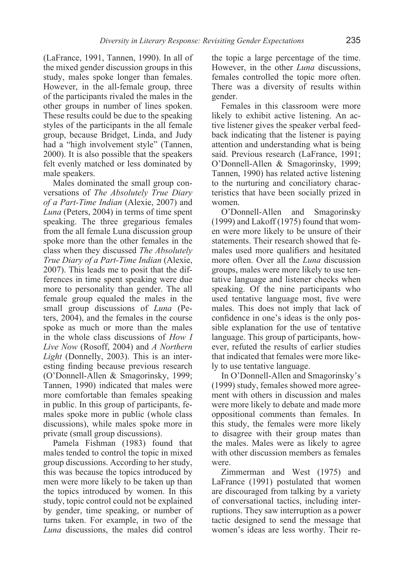(LaFrance, 1991, Tannen, 1990). In all of the mixed gender discussion groups in this study, males spoke longer than females. However, in the all-female group, three of the participants rivaled the males in the other groups in number of lines spoken. These results could be due to the speaking styles of the participants in the all female group, because Bridget, Linda, and Judy had a "high involvement style" (Tannen, 2000). It is also possible that the speakers felt evenly matched or less dominated by male speakers.

Males dominated the small group conversations of *The Absolutely True Diary of a Part-Time Indian* (Alexie, 2007) and *Luna* (Peters, 2004) in terms of time spent speaking. The three gregarious females from the all female Luna discussion group spoke more than the other females in the class when they discussed *The Absolutely True Diary of a Part-Time Indian* (Alexie, 2007). This leads me to posit that the differences in time spent speaking were due more to personality than gender. The all female group equaled the males in the small group discussions of *Luna* (Peters, 2004), and the females in the course spoke as much or more than the males in the whole class discussions of *How I Live Now* (Rosoff, 2004) and *A Northern Light* (Donnelly, 2003). This is an interesting finding because previous research (O'Donnell-Allen & Smagorinsky, 1999; Tannen, 1990) indicated that males were more comfortable than females speaking in public. In this group of participants, females spoke more in public (whole class discussions), while males spoke more in private (small group discussions).

Pamela Fishman (1983) found that males tended to control the topic in mixed group discussions. According to her study, this was because the topics introduced by men were more likely to be taken up than the topics introduced by women. In this study, topic control could not be explained by gender, time speaking, or number of turns taken. For example, in two of the *Luna* discussions, the males did control

the topic a large percentage of the time. However, in the other *Luna* discussions, females controlled the topic more often. There was a diversity of results within gender.

Females in this classroom were more likely to exhibit active listening. An active listener gives the speaker verbal feedback indicating that the listener is paying attention and understanding what is being said. Previous research (LaFrance, 1991; O'Donnell-Allen & Smagorinsky, 1999; Tannen, 1990) has related active listening to the nurturing and conciliatory characteristics that have been socially prized in women.

O'Donnell-Allen and Smagorinsky (1999) and Lakoff (1975) found that women were more likely to be unsure of their statements. Their research showed that females used more qualifiers and hesitated more often. Over all the *Luna* discussion groups, males were more likely to use tentative language and listener checks when speaking. Of the nine participants who used tentative language most, five were males. This does not imply that lack of confidence in one's ideas is the only possible explanation for the use of tentative language. This group of participants, however, refuted the results of earlier studies that indicated that females were more likely to use tentative language.

In O'Donnell-Allen and Smagorinsky's (1999) study, females showed more agreement with others in discussion and males were more likely to debate and made more oppositional comments than females. In this study, the females were more likely to disagree with their group mates than the males. Males were as likely to agree with other discussion members as females were.

Zimmerman and West (1975) and LaFrance (1991) postulated that women are discouraged from talking by a variety of conversational tactics, including interruptions. They saw interruption as a power tactic designed to send the message that women's ideas are less worthy. Their re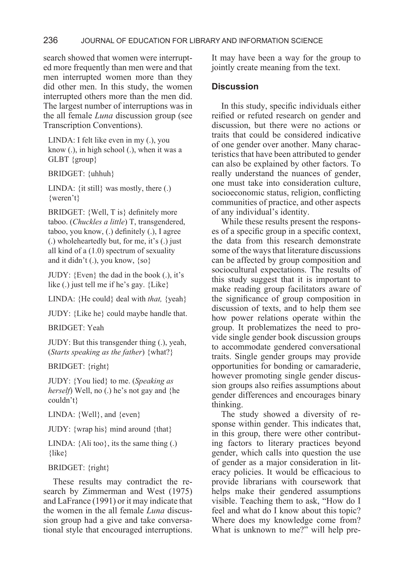search showed that women were interrupted more frequently than men were and that men interrupted women more than they did other men. In this study, the women interrupted others more than the men did. The largest number of interruptions was in the all female *Luna* discussion group (see Transcription Conventions).

LINDA: I felt like even in my (.), you know (.), in high school (.), when it was a GLBT {group}

BRIDGET: {uhhuh}

LINDA: {it still} was mostly, there (.) {weren't}

BRIDGET: {Well, T is} definitely more taboo. (*Chuckles a little*) T, transgendered, taboo, you know, (.) definitely (.), I agree (.) wholeheartedly but, for me, it's (.) just all kind of a (1.0) spectrum of sexuality and it didn't (.), you know, {so}

JUDY: {Even} the dad in the book (.), it's like (.) just tell me if he's gay. {Like}

LINDA: {He could} deal with *that,* {yeah}

JUDY: {Like he} could maybe handle that.

BRIDGET: Yeah

JUDY: But this transgender thing (.), yeah, (*Starts speaking as the father*) {what?}

BRIDGET: {right}

JUDY: {You lied} to me. (*Speaking as herself*) Well, no (.) he's not gay and {he couldn't}

LINDA: {Well}, and {even}

JUDY: {wrap his} mind around {that}

LINDA:  ${Ali}$  too}, its the same thing  $(.)$ {like}

BRIDGET: {right}

These results may contradict the research by Zimmerman and West (1975) and LaFrance (1991) or it may indicate that the women in the all female *Luna* discussion group had a give and take conversational style that encouraged interruptions.

It may have been a way for the group to jointly create meaning from the text.

# **Discussion**

In this study, specific individuals either reified or refuted research on gender and discussion, but there were no actions or traits that could be considered indicative of one gender over another. Many characteristics that have been attributed to gender can also be explained by other factors. To really understand the nuances of gender, one must take into consideration culture, socioeconomic status, religion, conflicting communities of practice, and other aspects of any individual's identity.

While these results present the responses of a specific group in a specific context, the data from this research demonstrate some of the ways that literature discussions can be affected by group composition and sociocultural expectations. The results of this study suggest that it is important to make reading group facilitators aware of the significance of group composition in discussion of texts, and to help them see how power relations operate within the group. It problematizes the need to provide single gender book discussion groups to accommodate gendered conversational traits. Single gender groups may provide opportunities for bonding or camaraderie, however promoting single gender discussion groups also reifies assumptions about gender differences and encourages binary thinking.

The study showed a diversity of response within gender. This indicates that, in this group, there were other contributing factors to literary practices beyond gender, which calls into question the use of gender as a major consideration in literacy policies. It would be efficacious to provide librarians with coursework that helps make their gendered assumptions visible. Teaching them to ask, "How do I feel and what do I know about this topic? Where does my knowledge come from? What is unknown to me?" will help pre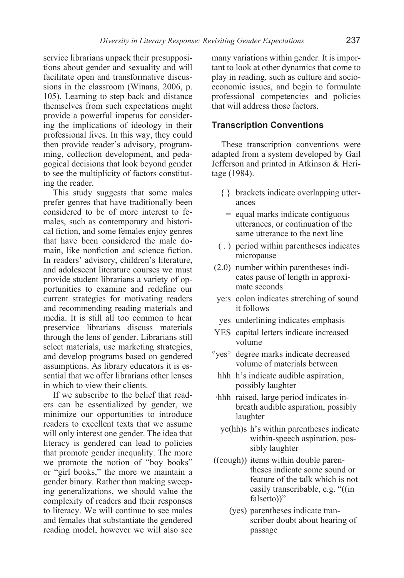service librarians unpack their presuppositions about gender and sexuality and will facilitate open and transformative discussions in the classroom (Winans, 2006, p. 105). Learning to step back and distance themselves from such expectations might provide a powerful impetus for considering the implications of ideology in their professional lives. In this way, they could then provide reader's advisory, programming, collection development, and pedagogical decisions that look beyond gender to see the multiplicity of factors constituting the reader.

This study suggests that some males prefer genres that have traditionally been considered to be of more interest to females, such as contemporary and historical fiction, and some females enjoy genres that have been considered the male domain, like nonfiction and science fiction. In readers' advisory, children's literature, and adolescent literature courses we must provide student librarians a variety of opportunities to examine and redefine our current strategies for motivating readers and recommending reading materials and media. It is still all too common to hear preservice librarians discuss materials through the lens of gender. Librarians still select materials, use marketing strategies, and develop programs based on gendered assumptions. As library educators it is essential that we offer librarians other lenses in which to view their clients.

If we subscribe to the belief that readers can be essentialized by gender, we minimize our opportunities to introduce readers to excellent texts that we assume will only interest one gender. The idea that literacy is gendered can lead to policies that promote gender inequality. The more we promote the notion of "boy books" or "girl books," the more we maintain a gender binary. Rather than making sweeping generalizations, we should value the complexity of readers and their responses to literacy. We will continue to see males and females that substantiate the gendered reading model, however we will also see

many variations within gender. It is important to look at other dynamics that come to play in reading, such as culture and socioeconomic issues, and begin to formulate professional competencies and policies that will address those factors.

#### **Transcription Conventions**

These transcription conventions were adapted from a system developed by Gail Jefferson and printed in Atkinson & Heritage (1984).

- { } brackets indicate overlapping utterances
	- = equal marks indicate contiguous utterances, or continuation of the same utterance to the next line
- ( . ) period within parentheses indicates micropause
- (2.0) number within parentheses indicates pause of length in approximate seconds
- ye:s colon indicates stretching of sound it follows
- yes underlining indicates emphasis
- YES capital letters indicate increased volume
- °yes° degree marks indicate decreased volume of materials between
	- hhh h's indicate audible aspiration, possibly laughter
- ·hhh raised, large period indicates inbreath audible aspiration, possibly laughter
- ye(hh)s h's within parentheses indicate within-speech aspiration, possibly laughter
- ((cough)) items within double parentheses indicate some sound or feature of the talk which is not easily transcribable, e.g. "((in falsetto))"
	- (yes) parentheses indicate transcriber doubt about hearing of passage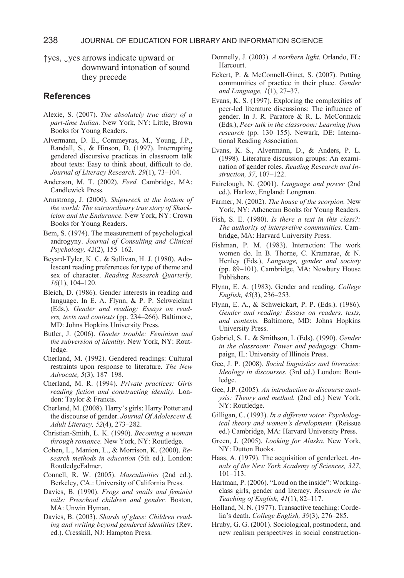↑yes, ↓yes arrows indicate upward or downward intonation of sound they precede

#### **References**

- Alexie, S. (2007). *The absolutely true diary of a part-time Indian.* New York, NY: Little, Brown Books for Young Readers.
- Alvermann, D. E., Commeyras, M., Young, J.P., Randall, S., & Hinson, D. (1997). Interrupting gendered discursive practices in classroom talk about texts: Easy to think about, difficult to do. *Journal of Literacy Research, 29*(1), 73–104.
- Anderson, M. T. (2002). *Feed.* Cambridge, MA: Candlewick Press.
- Armstrong, J. (2000). *Shipwreck at the bottom of the world: The extraordinary true story of Shackleton and the Endurance.* New York, NY: Crown Books for Young Readers.
- Bem, S. (1974). The measurement of psychological androgyny. *Journal of Consulting and Clinical Psychology, 42*(2), 155–162.
- Beyard-Tyler, K. C. & Sullivan, H. J. (1980). Adolescent reading preferences for type of theme and sex of character. *Reading Research Quarterly, 16*(1), 104–120.
- Bleich, D. (1986). Gender interests in reading and language. In E. A. Flynn, & P. P. Schweickart (Eds.), *Gender and reading: Essays on readers, texts and contexts* (pp. 234–266). Baltimore, MD: Johns Hopkins University Press.
- Butler, J. (2006). *Gender trouble: Feminism and the subversion of identity.* New York, NY: Routledge.
- Cherland, M. (1992). Gendered readings: Cultural restraints upon response to literature. *The New Advocate, 5*(3), 187–198.
- Cherland, M. R. (1994). *Private practices: Girls reading fiction and constructing identity.* London: Taylor & Francis.
- Cherland, M. (2008). Harry's girls: Harry Potter and the discourse of gender. *Journal Of Adolescent & Adult Literacy, 52*(4), 273–282.
- Christian-Smith, L. K. (1990). *Becoming a woman through romance.* New York, NY: Routledge.
- Cohen, L., Manion, L., & Morrison, K. (2000). *Research methods in education* (5th ed.). London: RoutledgeFalmer.
- Connell, R. W. (2005). *Masculinities* (2nd ed.). Berkeley, CA.: University of California Press.
- Davies, B. (1990). *Frogs and snails and feminist tails: Preschool children and gender.* Boston, MA: Unwin Hyman.
- Davies, B. (2003). *Shards of glass: Children reading and writing beyond gendered identities* (Rev. ed.). Cresskill, NJ: Hampton Press.
- Donnelly, J. (2003). *A northern light.* Orlando, FL: Harcourt.
- Eckert, P. & McConnell-Ginet, S. (2007). Putting communities of practice in their place. *Gender and Language, 1*(1), 27–37.
- Evans, K. S. (1997). Exploring the complexities of peer-led literature discussions: The influence of gender. In J. R. Paratore & R. L. McCormack (Eds.), *Peer talk in the classroom: Learning from research* (pp. 130–155). Newark, DE: International Reading Association.
- Evans, K. S., Alvermann, D., & Anders, P. L. (1998). Literature discussion groups: An examination of gender roles. *Reading Research and Instruction, 37*, 107–122.
- Fairclough, N. (2001). *Language and power* (2nd ed.). Harlow, England: Longman.
- Farmer, N. (2002). *The house of the scorpion.* New York, NY: Atheneum Books for Young Readers.
- Fish, S. E. (1980). *Is there a text in this class?: The authority of interpretive communities.* Cambridge, MA: Harvard University Press.
- Fishman, P. M. (1983). Interaction: The work women do. In B. Thorne, C. Kramarae, & N. Henley (Eds.), *Language, gender and society* (pp. 89–101). Cambridge, MA: Newbury House Publishers.
- Flynn, E. A. (1983). Gender and reading. *College English, 45*(3), 236–253.
- Flynn, E. A., & Schweickart, P. P. (Eds.). (1986). *Gender and reading: Essays on readers, texts, and contexts.* Baltimore, MD: Johns Hopkins University Press.
- Gabriel, S. L. & Smithson, I. (Eds). (1990). *Gender in the classroom: Power and pedagogy.* Champaign, IL: University of Illinois Press.
- Gee, J. P. (2008). *Social linguistics and literacies: Ideology in discourses.* (3rd ed.) London: Routledge.
- Gee, J.P. (2005). *An introduction to discourse analysis: Theory and method.* (2nd ed.) New York, NY: Routledge.
- Gilligan, C. (1993). *In a different voice: Psychological theory and women's development.* (Reissue ed.) Cambridge, MA: Harvard University Press.
- Green, J. (2005). *Looking for Alaska.* New York, NY: Dutton Books.
- Haas, A. (1979). The acquisition of genderlect. *Annals of the New York Academy of Sciences, 327*, 101–113.
- Hartman, P. (2006). "Loud on the inside": Workingclass girls, gender and literacy. *Research in the Teaching of English, 41*(1), 82–117.
- Holland, N. N. (1977). Transactive teaching: Cordelia's death. *College English, 39*(3), 276–285.
- Hruby, G. G. (2001). Sociological, postmodern, and new realism perspectives in social construction-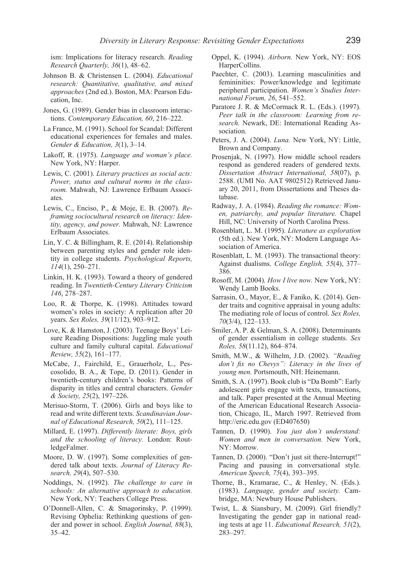ism: Implications for literacy research. *Reading Research Quarterly, 36*(1), 48–62.

- Johnson B. & Christensen L. (2004). *Educational research: Quantitative, qualitative, and mixed approaches* (2nd ed.). Boston, MA: Pearson Education, Inc.
- Jones, G. (1989). Gender bias in classroom interactions. *Contemporary Education, 60*, 216–222.
- La France, M. (1991). School for Scandal: Different educational experiences for females and males. *Gender & Education, 3*(1), 3–14.
- Lakoff, R. (1975). *Language and woman's place.*  New York, NY: Harper.
- Lewis, C. (2001). *Literary practices as social acts: Power, status and cultural norms in the classroom.* Mahwah, NJ: Lawrence Erlbaum Associates.
- Lewis, C., Enciso, P., & Moje, E. B. (2007). *Reframing sociocultural research on literacy: Identity, agency, and power.* Mahwah, NJ: Lawrence Erlbaum Associates.
- Lin, Y. C. & Billingham, R. E. (2014). Relationship between parenting styles and gender role identity in college students. *Psychological Reports, 114*(1), 250–271.
- Linkin, H. K. (1993). Toward a theory of gendered reading. In *Twentieth-Century Literary Criticism 146*, 278–287.
- Loo, R. & Thorpe, K. (1998). Attitudes toward women's roles in society: A replication after 20 years. *Sex Roles, 39*(11/12), 903–912.
- Love, K. & Hamston, J. (2003). Teenage Boys' Leisure Reading Dispositions: Juggling male youth culture and family cultural capital. *Educational Review, 55*(2), 161–177.
- McCabe, J., Fairchild, E., Grauerholz, L., Pescosolido, B. A., & Tope, D. (2011). Gender in twentieth-century children's books: Patterns of disparity in titles and central characters. *Gender & Society, 25*(2), 197–226.
- Merisuo-Storm, T. (2006). Girls and boys like to read and write different texts. *Scandinavian Journal of Educational Research, 50*(2), 111–125.
- Millard, E. (1997). *Differently literate: Boys, girls and the schooling of literacy.* London: RoutledgeFalmer.
- Moore, D. W. (1997). Some complexities of gendered talk about texts. *Journal of Literacy Research, 29*(4), 507–530.
- Noddings, N. (1992). *The challenge to care in schools: An alternative approach to education.*  New York, NY: Teachers College Press.
- O'Donnell-Allen, C. & Smagorinsky, P. (1999). Revising Ophelia: Rethinking questions of gender and power in school. *English Journal, 88*(3), 35–42.
- Oppel, K. (1994). *Airborn.* New York, NY: EOS HarperCollins.
- Paechter, C. (2003). Learning masculinities and femininities: Power/knowledge and legitimate peripheral participation. *Women's Studies International Forum, 26*, 541–552.
- Paratore J. R. & McCormack R. L. (Eds.). (1997). *Peer talk in the classroom: Learning from research.* Newark, DE: International Reading Association.
- Peters, J. A. (2004). *Luna.* New York, NY: Little, Brown and Company.
- Prosenjak, N. (1997). How middle school readers respond as gendered readers of gendered texts. *Dissertation Abstract International, 58*(07), p. 2588. (UMI No. AAT 9802512) Retrieved January 20, 2011, from Dissertations and Theses database.
- Radway, J. A. (1984). *Reading the romance: Women, patriarchy, and popular literature.* Chapel Hill, NC: University of North Carolina Press.
- Rosenblatt, L. M. (1995). *Literature as exploration*  (5th ed.). New York, NY: Modern Language Association of America.
- Rosenblatt, L. M. (1993). The transactional theory: Against dualisms. *College English, 55*(4), 377– 386.
- Rosoff, M. (2004). *How I live now.* New York, NY: Wendy Lamb Books.
- Sarrasin, O., Mayor, E., & Faniko, K. (2014). Gender traits and cognitive appraisal in young adults: The mediating role of locus of control. *Sex Roles, 70*(3/4), 122–133.
- Smiler, A. P. & Gelman, S. A. (2008). Determinants of gender essentialism in college students. *Sex Roles, 58*(11.12), 864–874.
- Smith, M.W., & Wilhelm, J.D. (2002). *"Reading don't fix no Chevys": Literacy in the lives of young men.* Portsmouth, NH: Heinemann.
- Smith, S. A. (1997). Book club is "Da Bomb": Early adolescent girls engage with texts, transactions, and talk. Paper presented at the Annual Meeting of the American Educational Research Association, Chicago, IL, March 1997. Retrieved from http://eric.edu.gov (ED407650)
- Tannen, D. (1990). *You just don't understand: Women and men in conversation.* New York, NY: Morrow.
- Tannen, D. (2000). "Don't just sit there-Interrupt!" Pacing and pausing in conversational style. *American Speech, 75*(4), 393–395.
- Thorne, B., Kramarae, C., & Henley, N. (Eds.). (1983). *Language, gender and society.* Cambridge, MA: Newbury House Publishers.
- Twist, L. & Siansbury, M. (2009). Girl friendly? Investigating the gender gap in national reading tests at age 11. *Educational Research, 51*(2), 283–297.